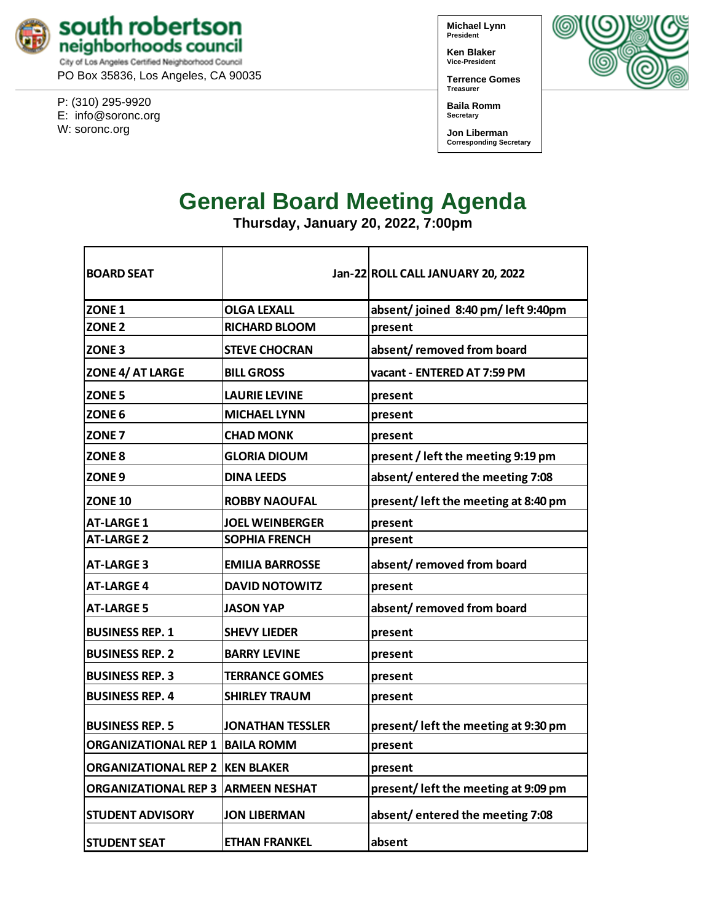

PO Box 35836, Los Angeles, CA 90035

P: (310) 295-9920 E: [info@soronc.org](mailto:info@soronc.org) W: soronc.org

**Michael Lynn President**

**Ken Blaker Vice-President**

**Terrence Gomes Treasurer**

**Baila Romm Secretary**

**Jon Liberman Corresponding Secretary**



# **General Board Meeting Agenda**

**Thursday, January 20, 2022, 7:00pm**

| <b>BOARD SEAT</b>                      |                         | Jan-22 ROLL CALL JANUARY 20, 2022    |
|----------------------------------------|-------------------------|--------------------------------------|
| ZONE <sub>1</sub>                      | <b>OLGA LEXALL</b>      | absent/joined 8:40 pm/left 9:40pm    |
| ZONE <sub>2</sub>                      | <b>RICHARD BLOOM</b>    | present                              |
| ZONE <sub>3</sub>                      | <b>STEVE CHOCRAN</b>    | absent/removed from board            |
| ZONE 4/ AT LARGE                       | <b>BILL GROSS</b>       | vacant - ENTERED AT 7:59 PM          |
| <b>ZONE 5</b>                          | <b>LAURIE LEVINE</b>    | present                              |
| ZONE <sub>6</sub>                      | <b>MICHAEL LYNN</b>     | present                              |
| <b>ZONE 7</b>                          | <b>CHAD MONK</b>        | present                              |
| ZONE 8                                 | <b>GLORIA DIOUM</b>     | present / left the meeting 9:19 pm   |
| ZONE <sub>9</sub>                      | <b>DINA LEEDS</b>       | absent/entered the meeting 7:08      |
| <b>ZONE 10</b>                         | <b>ROBBY NAOUFAL</b>    | present/left the meeting at 8:40 pm  |
| <b>AT-LARGE 1</b>                      | <b>JOEL WEINBERGER</b>  | present                              |
| <b>AT-LARGE 2</b>                      | <b>SOPHIA FRENCH</b>    | present                              |
| <b>AT-LARGE 3</b>                      | <b>EMILIA BARROSSE</b>  | absent/removed from board            |
| <b>AT-LARGE 4</b>                      | <b>DAVID NOTOWITZ</b>   | present                              |
| <b>AT-LARGE 5</b>                      | <b>JASON YAP</b>        | absent/removed from board            |
| <b>BUSINESS REP. 1</b>                 | <b>SHEVY LIEDER</b>     | present                              |
| <b>BUSINESS REP. 2</b>                 | <b>BARRY LEVINE</b>     | present                              |
| <b>BUSINESS REP. 3</b>                 | <b>TERRANCE GOMES</b>   | present                              |
| <b>BUSINESS REP. 4</b>                 | <b>SHIRLEY TRAUM</b>    | present                              |
| <b>BUSINESS REP. 5</b>                 | <b>JONATHAN TESSLER</b> | present/left the meeting at 9:30 pm  |
| <b>ORGANIZATIONAL REP 1 BAILA ROMM</b> |                         | present                              |
| ORGANIZATIONAL REP 2 IKEN BLAKER       |                         | present                              |
| <b>ORGANIZATIONAL REP 3</b>            | <b>ARMEEN NESHAT</b>    | present/ left the meeting at 9:09 pm |
| <b>STUDENT ADVISORY</b>                | <b>JON LIBERMAN</b>     | absent/entered the meeting 7:08      |
| <b>STUDENT SEAT</b>                    | <b>ETHAN FRANKEL</b>    | absent                               |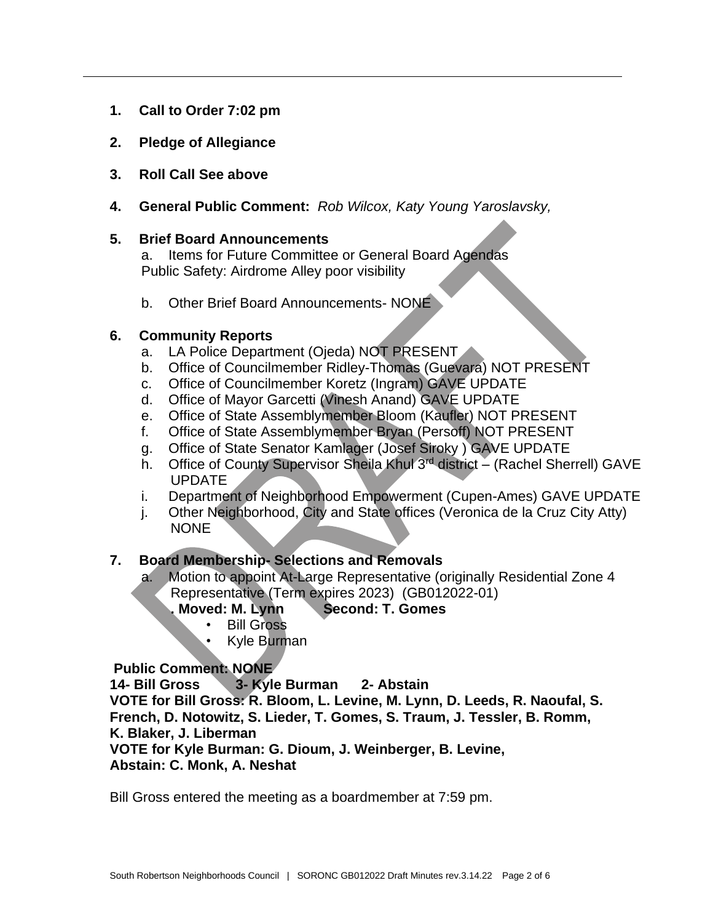- **1. Call to Order 7:02 pm**
- **2. Pledge of Allegiance**
- **3. Roll Call See above**
- **4. General Public Comment:** *Rob Wilcox, Katy Young Yaroslavsky,*

### **5. Brief Board Announcements**

a. Items for Future Committee or General Board Agendas Public Safety: Airdrome Alley poor visibility

b. Other Brief Board Announcements- NONE

# **6. Community Reports**

- a. LA Police Department (Ojeda) NOT PRESENT
- b. Office of Councilmember Ridley-Thomas (Guevara) NOT PRESENT
- c. Office of Councilmember Koretz (Ingram) GAVE UPDATE
- d. Office of Mayor Garcetti (Vinesh Anand) GAVE UPDATE
- e. Office of State Assemblymember Bloom (Kaufler) NOT PRESENT
- f. Office of State Assemblymember Bryan (Persoff) NOT PRESENT
- g. Office of State Senator Kamlager (Josef Siroky ) GAVE UPDATE
- h. Office of County Supervisor Sheila Khul 3<sup>rd</sup> district (Rachel Sherrell) GAVE UPDATE
- i. Department of Neighborhood Empowerment (Cupen-Ames) GAVE UPDATE
- j. Other Neighborhood, City and State offices (Veronica de la Cruz City Atty) NONE

# **7. Board Membership- Selections and Removals**

- a. Motion to appoint At-Large Representative (originally Residential Zone 4 Representative (Term expires 2023) (GB012022-01)
	- **. Moved: M. Lynn Second: T. Gomes**
		- Bill Gross
		- Kyle Burman

# **Public Comment: NONE**

**14- Bill Gross 3- Kyle Burman 2- Abstain**

**VOTE for Bill Gross: R. Bloom, L. Levine, M. Lynn, D. Leeds, R. Naoufal, S. French, D. Notowitz, S. Lieder, T. Gomes, S. Traum, J. Tessler, B. Romm, K. Blaker, J. Liberman**

**VOTE for Kyle Burman: G. Dioum, J. Weinberger, B. Levine, Abstain: C. Monk, A. Neshat**

Bill Gross entered the meeting as a boardmember at 7:59 pm.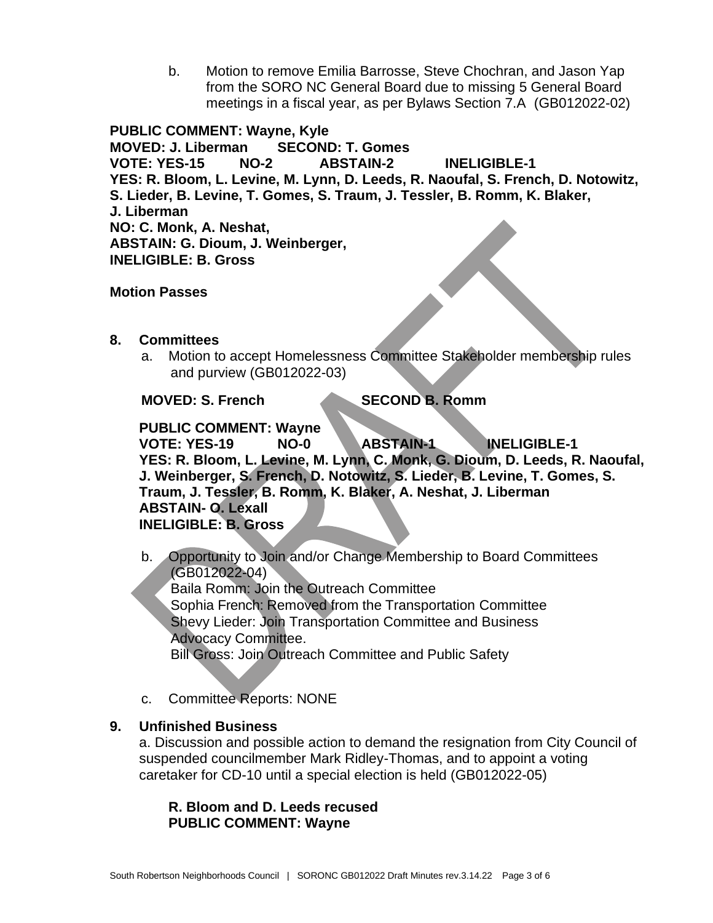b. Motion to remove Emilia Barrosse, Steve Chochran, and Jason Yap from the SORO NC General Board due to missing 5 General Board meetings in a fiscal year, as per Bylaws Section 7.A (GB012022-02)

**PUBLIC COMMENT: Wayne, Kyle MOVED: J. Liberman SECOND: T. Gomes VOTE: YES-15 NO-2 ABSTAIN-2 INELIGIBLE-1 YES: R. Bloom, L. Levine, M. Lynn, D. Leeds, R. Naoufal, S. French, D. Notowitz, S. Lieder, B. Levine, T. Gomes, S. Traum, J. Tessler, B. Romm, K. Blaker, J. Liberman NO: C. Monk, A. Neshat, ABSTAIN: G. Dioum, J. Weinberger, INELIGIBLE: B. Gross**

**Motion Passes**

- **8. Committees**
	- a. Motion to accept Homelessness Committee Stakeholder membership rules and purview (GB012022-03)

**MOVED: S. French SECOND B. Romm**

**PUBLIC COMMENT: Wayne**

**VOTE: YES-19 NO-0 ABSTAIN-1 INELIGIBLE-1 YES: R. Bloom, L. Levine, M. Lynn, C. Monk, G. Dioum, D. Leeds, R. Naoufal, J. Weinberger, S. French, D. Notowitz, S. Lieder, B. Levine, T. Gomes, S. Traum, J. Tessler, B. Romm, K. Blaker, A. Neshat, J. Liberman ABSTAIN- O. Lexall INELIGIBLE: B. Gross**

b. Opportunity to Join and/or Change Membership to Board Committees (GB012022-04) Baila Romm: Join the Outreach Committee Sophia French: Removed from the Transportation Committee Shevy Lieder: Join Transportation Committee and Business Advocacy Committee. Bill Gross: Join Outreach Committee and Public Safety

c. Committee Reports: NONE

#### **9. Unfinished Business**

a. Discussion and possible action to demand the resignation from City Council of suspended councilmember Mark Ridley-Thomas, and to appoint a voting caretaker for CD-10 until a special election is held (GB012022-05)

#### **R. Bloom and D. Leeds recused PUBLIC COMMENT: Wayne**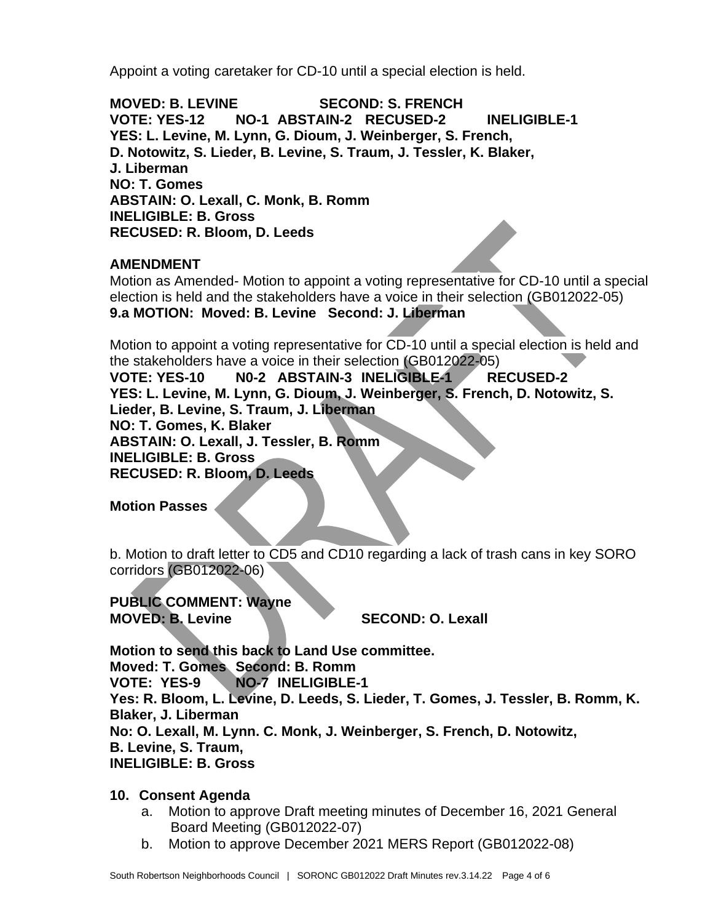Appoint a voting caretaker for CD-10 until a special election is held.

**MOVED: B. LEVINE SECOND: S. FRENCH VOTE: YES-12 NO-1 ABSTAIN-2 RECUSED-2 INELIGIBLE-1 YES: L. Levine, M. Lynn, G. Dioum, J. Weinberger, S. French, D. Notowitz, S. Lieder, B. Levine, S. Traum, J. Tessler, K. Blaker, J. Liberman NO: T. Gomes ABSTAIN: O. Lexall, C. Monk, B. Romm INELIGIBLE: B. Gross RECUSED: R. Bloom, D. Leeds**

# **AMENDMENT**

Motion as Amended- Motion to appoint a voting representative for CD-10 until a special election is held and the stakeholders have a voice in their selection (GB012022-05) **9.a MOTION: Moved: B. Levine Second: J. Liberman**

Motion to appoint a voting representative for CD-10 until a special election is held and the stakeholders have a voice in their selection (GB012022-05)

**VOTE: YES-10 N0-2 ABSTAIN-3 INELIGIBLE-1 RECUSED-2 YES: L. Levine, M. Lynn, G. Dioum, J. Weinberger, S. French, D. Notowitz, S. Lieder, B. Levine, S. Traum, J. Liberman NO: T. Gomes, K. Blaker ABSTAIN: O. Lexall, J. Tessler, B. Romm INELIGIBLE: B. Gross RECUSED: R. Bloom, D. Leeds**

**Motion Passes**

b. Motion to draft letter to CD5 and CD10 regarding a lack of trash cans in key SORO corridors (GB012022-06)

**PUBLIC COMMENT: Wayne MOVED: B. Levine SECOND: O. Lexall**

**Motion to send this back to Land Use committee. Moved: T. Gomes Second: B. Romm VOTE: YES-9 NO-7 INELIGIBLE-1 Yes: R. Bloom, L. Levine, D. Leeds, S. Lieder, T. Gomes, J. Tessler, B. Romm, K. Blaker, J. Liberman No: O. Lexall, M. Lynn. C. Monk, J. Weinberger, S. French, D. Notowitz, B. Levine, S. Traum, INELIGIBLE: B. Gross**

### **10. Consent Agenda**

- a. Motion to approve Draft meeting minutes of December 16, 2021 General Board Meeting (GB012022-07)
- b. Motion to approve December 2021 MERS Report (GB012022-08)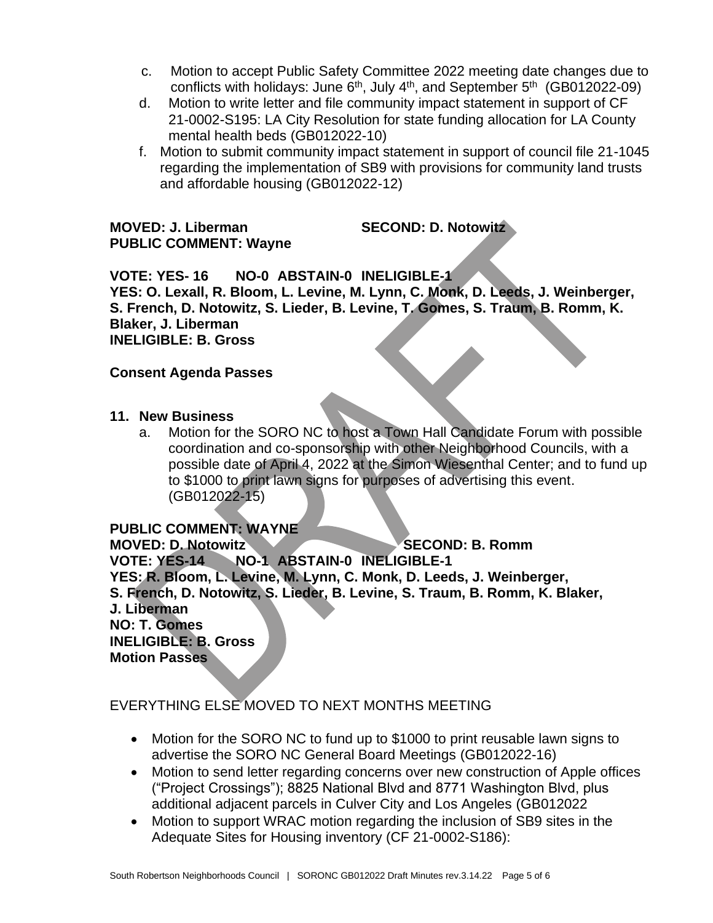- c. Motion to accept Public Safety Committee 2022 meeting date changes due to conflicts with holidays: June  $6<sup>th</sup>$ , July  $4<sup>th</sup>$ , and September  $5<sup>th</sup>$  (GB012022-09)
- d. Motion to write letter and file community impact statement in support of CF 21-0002-S195: LA City Resolution for state funding allocation for LA County mental health beds (GB012022-10)
- f. Motion to submit community impact statement in support of council file 21-1045 regarding the implementation of SB9 with provisions for community land trusts and affordable housing (GB012022-12)

#### **MOVED: J. Liberman SECOND: D. Notowitz PUBLIC COMMENT: Wayne**

**VOTE: YES- 16 NO-0 ABSTAIN-0 INELIGIBLE-1 YES: O. Lexall, R. Bloom, L. Levine, M. Lynn, C. Monk, D. Leeds, J. Weinberger, S. French, D. Notowitz, S. Lieder, B. Levine, T. Gomes, S. Traum, B. Romm, K. Blaker, J. Liberman INELIGIBLE: B. Gross**

# **Consent Agenda Passes**

- **11. New Business** 
	- a. Motion for the SORO NC to host a Town Hall Candidate Forum with possible coordination and co-sponsorship with other Neighborhood Councils, with a possible date of April 4, 2022 at the Simon Wiesenthal Center; and to fund up to \$1000 to print lawn signs for purposes of advertising this event. (GB012022-15)

# **PUBLIC COMMENT: WAYNE**

**MOVED: D. Notowitz SECOND: B. Romm VOTE: YES-14 NO-1 ABSTAIN-0 INELIGIBLE-1 YES: R. Bloom, L. Levine, M. Lynn, C. Monk, D. Leeds, J. Weinberger, S. French, D. Notowitz, S. Lieder, B. Levine, S. Traum, B. Romm, K. Blaker, J. Liberman NO: T. Gomes INELIGIBLE: B. Gross Motion Passes**

# EVERYTHING ELSE MOVED TO NEXT MONTHS MEETING

- Motion for the SORO NC to fund up to \$1000 to print reusable lawn signs to advertise the SORO NC General Board Meetings (GB012022-16)
- Motion to send letter regarding concerns over new construction of Apple offices ("Project Crossings"); 8825 National Blvd and 8771 Washington Blvd, plus additional adjacent parcels in Culver City and Los Angeles (GB012022
- Motion to support WRAC motion regarding the inclusion of SB9 sites in the Adequate Sites for Housing inventory (CF 21-0002-S186):